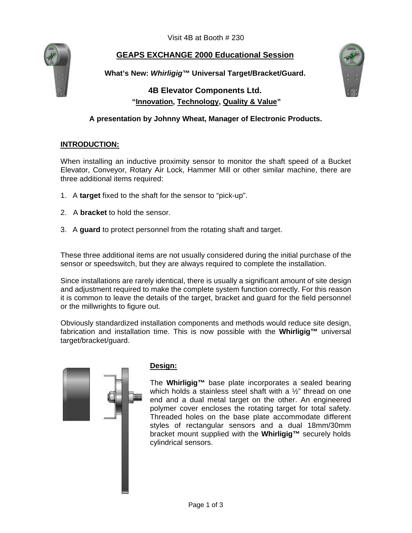Visit 4B at Booth # 230



## **GEAPS EXCHANGE 2000 Educational Session**

**What's New:** *Whirligig™* **Universal Target/Bracket/Guard.**

# **4B Elevator Components Ltd. "Innovation, Technology, Quality & Value"**



### **A presentation by Johnny Wheat, Manager of Electronic Products.**

### **INTRODUCTION:**

When installing an inductive proximity sensor to monitor the shaft speed of a Bucket Elevator, Conveyor, Rotary Air Lock, Hammer Mill or other similar machine, there are three additional items required:

- 1. A **target** fixed to the shaft for the sensor to "pick-up".
- 2. A **bracket** to hold the sensor.
- 3. A **guard** to protect personnel from the rotating shaft and target.

These three additional items are not usually considered during the initial purchase of the sensor or speedswitch, but they are always required to complete the installation.

Since installations are rarely identical, there is usually a significant amount of site design and adjustment required to make the complete system function correctly. For this reason it is common to leave the details of the target, bracket and guard for the field personnel or the millwrights to figure out.

Obviously standardized installation components and methods would reduce site design, fabrication and installation time. This is now possible with the **Whirligig™** universal target/bracket/guard.



### **Design:**

The **Whirligig™** base plate incorporates a sealed bearing which holds a stainless steel shaft with a 1/2" thread on one end and a dual metal target on the other. An engineered polymer cover encloses the rotating target for total safety. Threaded holes on the base plate accommodate different styles of rectangular sensors and a dual 18mm/30mm bracket mount supplied with the **Whirligig™** securely holds cylindrical sensors.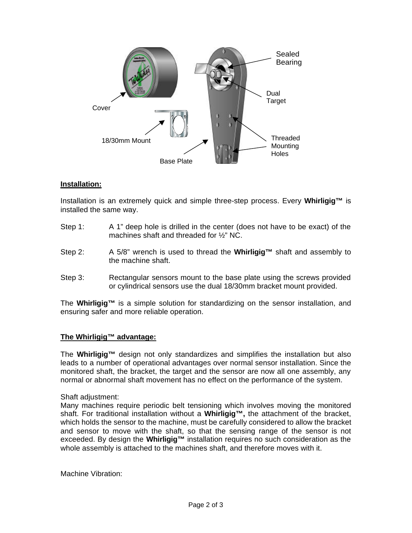

#### **Installation:**

Installation is an extremely quick and simple three-step process. Every **Whirligig™** is installed the same way.

- Step 1: A 1" deep hole is drilled in the center (does not have to be exact) of the machines shaft and threaded for ½" NC.
- Step 2: A 5/8" wrench is used to thread the **Whirligig™** shaft and assembly to the machine shaft.
- Step 3: Rectangular sensors mount to the base plate using the screws provided or cylindrical sensors use the dual 18/30mm bracket mount provided.

The **Whirligig™** is a simple solution for standardizing on the sensor installation, and ensuring safer and more reliable operation.

#### **The Whirligig™ advantage:**

The **Whirligig™** design not only standardizes and simplifies the installation but also leads to a number of operational advantages over normal sensor installation. Since the monitored shaft, the bracket, the target and the sensor are now all one assembly, any normal or abnormal shaft movement has no effect on the performance of the system.

Shaft adjustment:

Many machines require periodic belt tensioning which involves moving the monitored shaft. For traditional installation without a **Whirligig™,** the attachment of the bracket, which holds the sensor to the machine, must be carefully considered to allow the bracket and sensor to move with the shaft, so that the sensing range of the sensor is not exceeded. By design the **Whirligig™** installation requires no such consideration as the whole assembly is attached to the machines shaft, and therefore moves with it.

Machine Vibration: